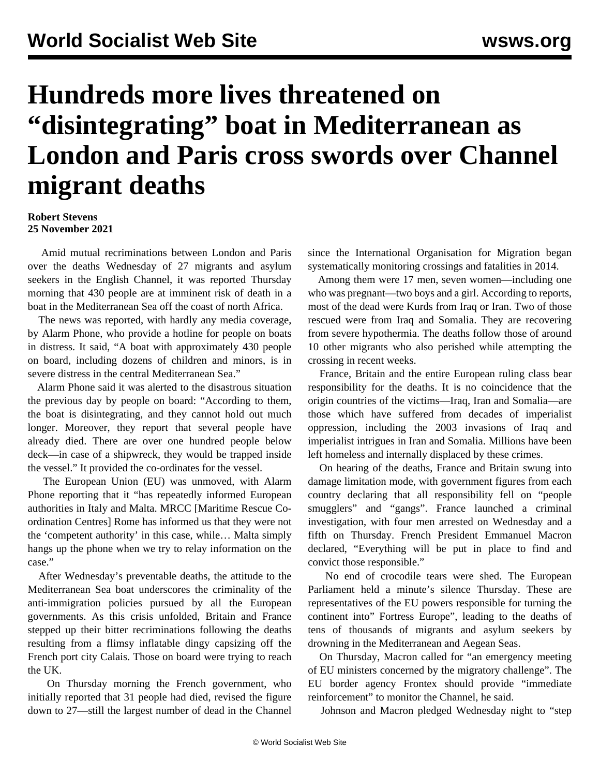## **Hundreds more lives threatened on "disintegrating" boat in Mediterranean as London and Paris cross swords over Channel migrant deaths**

## **Robert Stevens 25 November 2021**

 Amid mutual recriminations between London and Paris over the deaths Wednesday of 27 migrants and asylum seekers in the English Channel, it was reported Thursday morning that 430 people are at imminent risk of death in a boat in the Mediterranean Sea off the coast of north Africa.

 The news was reported, with hardly any media coverage, by Alarm Phone, who provide a hotline for people on boats in distress. It said, "A boat with approximately 430 people on board, including dozens of children and minors, is in severe distress in the central Mediterranean Sea."

 Alarm Phone said it was alerted to the disastrous situation the previous day by people on board: "According to them, the boat is disintegrating, and they cannot hold out much longer. Moreover, they report that several people have already died. There are over one hundred people below deck—in case of a shipwreck, they would be trapped inside the vessel." It provided the co-ordinates for the vessel.

 The European Union (EU) was unmoved, with Alarm Phone reporting that it "has repeatedly informed European authorities in Italy and Malta. MRCC [Maritime Rescue Coordination Centres] Rome has informed us that they were not the 'competent authority' in this case, while… Malta simply hangs up the phone when we try to relay information on the case."

 After Wednesday's preventable deaths, the attitude to the Mediterranean Sea boat underscores the criminality of the anti-immigration policies pursued by all the European governments. As this crisis unfolded, Britain and France stepped up their bitter recriminations following the deaths resulting from a flimsy inflatable dingy capsizing off the French port city Calais. Those on board were trying to reach the UK.

 On Thursday morning the French government, who initially reported that 31 people had died, revised the figure down to 27—still the largest number of dead in the Channel since the International Organisation for Migration began systematically monitoring crossings and fatalities in 2014.

 Among them were 17 men, seven women—including one who was pregnant—two boys and a girl. According to reports, most of the dead were Kurds from Iraq or Iran. Two of those rescued were from Iraq and Somalia. They are recovering from severe hypothermia. The deaths follow those of around 10 other migrants who also perished while attempting the crossing in recent weeks.

 France, Britain and the entire European ruling class bear responsibility for the deaths. It is no coincidence that the origin countries of the victims—Iraq, Iran and Somalia—are those which have suffered from decades of imperialist oppression, including the 2003 invasions of Iraq and imperialist intrigues in Iran and Somalia. Millions have been left homeless and internally displaced by these crimes.

 On hearing of the deaths, France and Britain swung into damage limitation mode, with government figures from each country declaring that all responsibility fell on "people smugglers" and "gangs". France launched a criminal investigation, with four men arrested on Wednesday and a fifth on Thursday. French President Emmanuel Macron declared, "Everything will be put in place to find and convict those responsible."

 No end of crocodile tears were shed. The European Parliament held a minute's silence Thursday. These are representatives of the EU powers responsible for turning the continent into" Fortress Europe", leading to the deaths of tens of thousands of migrants and asylum seekers by drowning in the Mediterranean and Aegean Seas.

 On Thursday, Macron called for "an emergency meeting of EU ministers concerned by the migratory challenge". The EU border agency Frontex should provide "immediate reinforcement" to monitor the Channel, he said.

Johnson and Macron pledged Wednesday night to "step